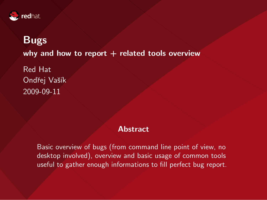

# Bugs why and how to report  $+$  related tools overview

Red Hat Ondřej Vašík 2009-09-11

#### **Abstract**

Basic overview of bugs (from command line point of view, no desktop involved), overview and basic usage of common tools useful to gather enough informations to fill perfect bug report.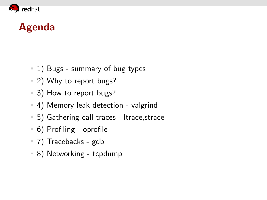

# Agenda

- <sup>1</sup> 1) Bugs summary of bug types
- 2) Why to report bugs?
- 3) How to report bugs?
- 4) Memory leak detection valgrind
- 5) Gathering call traces ltrace,strace
- 6) Profiling oprofile
- 7) Tracebacks gdb
- 8) Networking tcpdump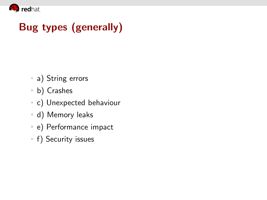

# Bug types (generally)

- a) String errors
- b) Crashes
- c) Unexpected behaviour
- d) Memory leaks
- e) Performance impact
- **f)** Security issues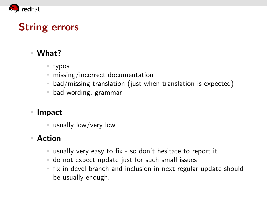

# String errors

#### What?

- typos
- missing/incorrect documentation
- bad/missing translation (just when translation is expected)
- bad wording, grammar

#### ■ Impact

usually low/very low

- usually very easy to fix so don't hesitate to report it
- do not expect update just for such small issues
- **fix in devel branch and inclusion in next regular update should** be usually enough.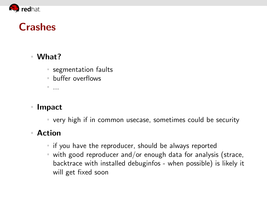

# **Crashes**

#### What?

■ segmentation faults

buffer overflows

...

#### Impact

very high if in common usecase, sometimes could be security

- $\blacksquare$  if you have the reproducer, should be always reported
- with good reproducer and/or enough data for analysis (strace, backtrace with installed debuginfos - when possible) is likely it will get fixed soon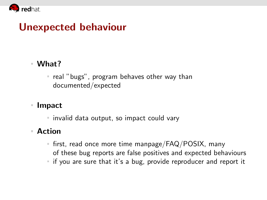

# Unexpected behaviour

#### What?

 $\blacksquare$  real "bugs", program behaves other way than documented/expected

#### Impact

invalid data output, so impact could vary

- $\blacksquare$  first, read once more time manpage/FAQ/POSIX, many of these bug reports are false positives and expected behaviours
- if you are sure that it's a bug, provide reproducer and report it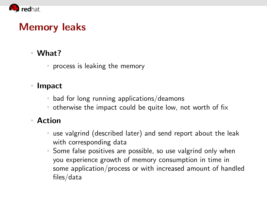

# Memory leaks

#### What?

process is leaking the memory

#### ■ Impact

- bad for long running applications/deamons
- otherwise the impact could be quite low, not worth of fix

- use valgrind (described later) and send report about the leak with corresponding data
- Some false positives are possible, so use valgrind only when you experience growth of memory consumption in time in some application/process or with increased amount of handled files/data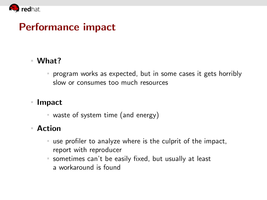

### Performance impact

#### What?

program works as expected, but in some cases it gets horribly slow or consumes too much resources

#### ■ Impact

waste of system time (and energy)

- use profiler to analyze where is the culprit of the impact,  $\equiv$ report with reproducer
- sometimes can't be easily fixed, but usually at least a workaround is found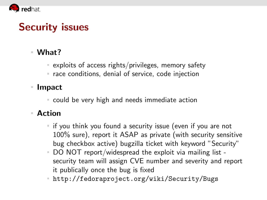

# Security issues

#### What?

 $\overline{ }$  exploits of access rights/privileges, memory safety

■ race conditions, denial of service, code injection

#### Impact

could be very high and needs immediate action

#### Action

- $\blacksquare$  if you think you found a security issue (even if you are not 100% sure), report it ASAP as private (with security sensitive bug checkbox active) bugzilla ticket with keyword "Security"
- DO NOT report/widespread the exploit via mailing list security team will assign CVE number and severity and report it publically once the bug is fixed

<http://fedoraproject.org/wiki/Security/Bugs>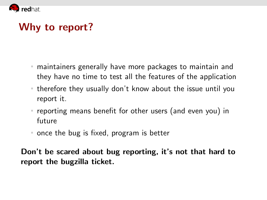

# Why to report?

- maintainers generally have more packages to maintain and they have no time to test all the features of the application
- therefore they usually don't know about the issue until you report it.
- reporting means benefit for other users (and even you) in future
- once the bug is fixed, program is better

Don't be scared about bug reporting, it's not that hard to report the bugzilla ticket.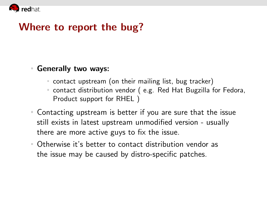

# Where to report the bug?

#### Generally two ways:

- contact upstream (on their mailing list, bug tracker)
- contact distribution vendor ( e.g. Red Hat Bugzilla for Fedora, Product support for RHEL )
- Contacting upstream is better if you are sure that the issue still exists in latest upstream unmodified version - usually there are more active guys to fix the issue.
- Otherwise it's better to contact distribution vendor as the issue may be caused by distro-specific patches.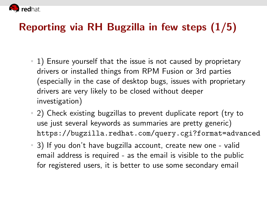

# Reporting via RH Bugzilla in few steps (1/5)

- 1) Ensure yourself that the issue is not caused by proprietary drivers or installed things from RPM Fusion or 3rd parties (especially in the case of desktop bugs, issues with proprietary drivers are very likely to be closed without deeper investigation)
- 2) Check existing bugzillas to prevent duplicate report (try to use just several keywords as summaries are pretty generic) <https://bugzilla.redhat.com/query.cgi?format=advanced>
- 3) If you don't have bugzilla account, create new one valid email address is required - as the email is visible to the public for registered users, it is better to use some secondary email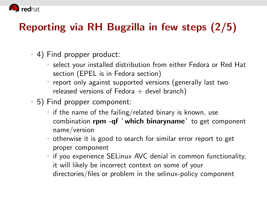

# Reporting via RH Bugzilla in few steps (2/5)

- 4) Find propper product:
	- select your installed distribution from either Fedora or Red Hat section (EPEL is in Fedora section)
	- report only against supported versions (generally last two released versions of Fedora  $+$  devel branch)
- 5) Find propper component:
	- $\blacksquare$  if the name of the failing/related binary is known, use combination rpm -qf `which binaryname` to get component name/version
	- otherwise it is good to search for similar error report to get proper component
	- **i** if you experience SELinux AVC denial in common functionality, it will likely be incorrect context on some of your directories/files or problem in the selinux-policy component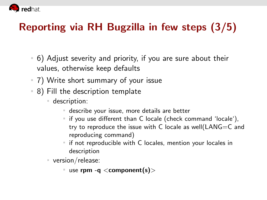

# Reporting via RH Bugzilla in few steps (3/5)

- 6) Adjust severity and priority, if you are sure about their values, otherwise keep defaults
- 7) Write short summary of your issue
- 8) Fill the description template
	- description:
		- describe your issue, more details are better
		- $\blacksquare$  if you use different than C locale (check command 'locale'), try to reproduce the issue with C locale as well(LANG=C and reproducing command)
		- $\blacksquare$  if not reproducible with C locales, mention your locales in description
	- version/release:
		- use rpm -q  $\leq$  component(s) $>$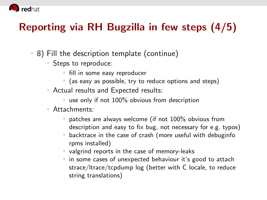

# Reporting via RH Bugzilla in few steps (4/5)

- 8) Fill the description template (continue)
	- Steps to reproduce:
		- fill in some easy reproducer
		- $\blacksquare$  (as easy as possible, try to reduce options and steps)
	- Actual results and Expected results:
		- use only if not 100% obvious from description

#### Attachments:

- **patches are always welcome (if not 100% obvious from** description and easy to fix bug, not necessary for e.g. typos)
- backtrace in the case of crash (more useful with debuginfo rpms installed)
- valgrind reports in the case of memory-leaks
- in some cases of unexpected behaviour it's good to attach strace/ltrace/tcpdump log (better with C locale, to reduce string translations)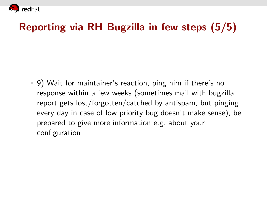

# Reporting via RH Bugzilla in few steps (5/5)

9) Wait for maintainer's reaction, ping him if there's no response within a few weeks (sometimes mail with bugzilla report gets lost/forgotten/catched by antispam, but pinging every day in case of low priority bug doesn't make sense), be prepared to give more information e.g. about your configuration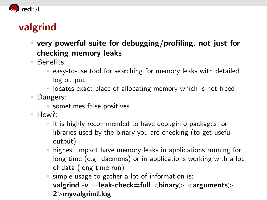

# valgrind

- very powerful suite for debugging/profiling, not just for checking memory leaks
- Benefits:
	- easy-to-use tool for searching for memory leaks with detailed log output
	- locates exact place of allocating memory which is not freed
- n. Dangers:
	- sometimes false positives
- $How?$ :
	- $\blacksquare$  it is highly recommended to have debuginfo packages for libraries used by the binary you are checking (to get useful output)
	- highest impact have memory leaks in applications running for long time (e.g. daemons) or in applications working with a lot of data (long time run)
	- simple usage to gather a lot of information is: valgrind -v --leak-check=full <br/>binary> <arguments> 2>myvalgrind.log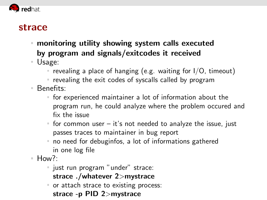

#### strace

- monitoring utility showing system calls executed by program and signals/exitcodes it received
- Usage:
	- revealing a place of hanging (e.g. waiting for  $I/O$ , timeout)
	- $\blacksquare$  revealing the exit codes of syscalls called by program
- Benefits:
	- for experienced maintainer a lot of information about the program run, he could analyze where the problem occured and fix the issue
	- $\blacksquare$  for common user it's not needed to analyze the issue, just passes traces to maintainer in bug report
	- no need for debuginfos, a lot of informations gathered in one log file
- $How$ ?:
	- just run program "under" strace: strace ./whatever 2>mystrace
	- or attach strace to existing process: strace -p PID 2>mystrace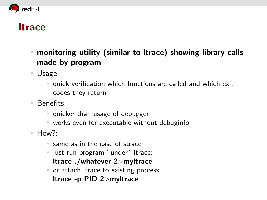

### ltrace

- monitoring utility (similar to ltrace) showing library calls made by program
- Usage:
	- quick verification which functions are called and which exit codes they return
- Benefits:
	- quicker than usage of debugger
	- works even for executable without debuginfo
- $How?$ :
	- same as in the case of strace
	- ust run program "under" ltrace: ltrace ./whatever 2>myltrace
	- or attach ltrace to existing process: ltrace -p PID 2>myltrace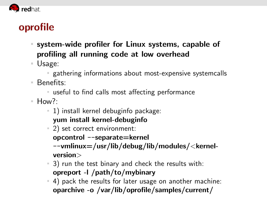

# oprofile

- system-wide profiler for Linux systems, capable of profiling all running code at low overhead
- Usage:
	- gathering informations about most-expensive systemcalls
- Benefits:
	- useful to find calls most affecting performance
- $How?$ :
	- $1)$  install kernel debuginfo package: yum install kernel-debuginfo
	- 2) set correct environment:
		- opcontrol --separate=kernel
		- --vmlinux=/usr/lib/debug/lib/modules/<kernelversion>
	- 3) run the test binary and check the results with: opreport -l /path/to/mybinary
	- 4) pack the results for later usage on another machine: oparchive -o /var/lib/oprofile/samples/current/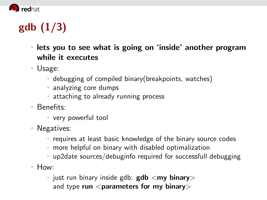

# gdb (1/3)

- lets you to see what is going on 'inside' another program while it executes
- Usage:
	- debugging of compiled binary(breakpoints, watches)
	- analyzing core dumps
	- **Exercise 1** attaching to already running process
- Benefits:
	- very powerful tool
- Negatives:
	- requires at least basic knowledge of the binary source codes
	- more helpful on binary with disabled optimalization
	- up2date sources/debuginfo required for successfull debugging
- How:
	- $\blacksquare$  just run binary inside gdb: gdb  $\langle$ my binary $\rangle$ and type run  $\leq$  parameters for my binary $>$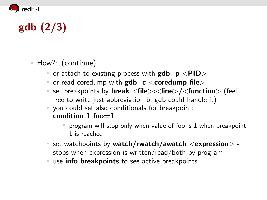

# gdb (2/3)

- How?: (continue)
	- $\blacksquare$  or attach to existing process with gdb  $-p$  <PID>
	- $\blacksquare$  or read coredump with  $\mathbf{gdb}$  -c  $\lt$  coredump file $\gt$
	- **set breakpoints by break**  $\langle$  **file** $>\rangle$ **:**  $\langle$  function $>\rangle$  (feel free to write just abbreviation b, gdb could handle it)
	- you could set also conditionals for breakpoint: condition  $1$  foo $=1$ 
		- $\blacksquare$  program will stop only when value of foo is 1 when breakpoint 1 is reached
	- set watchpoints by watch/rwatch/awatch  $\langle$  expression $\rangle$  stops when expression is written/read/both by program
	- use info breakpoints to see active breakpoints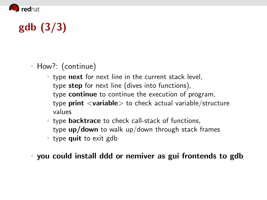

# gdb (3/3)

- How?: (continue)
	- type next for next line in the current stack level, type step for next line (dives into functions), type continue to continue the execution of program, type **print**  $\langle$ **variable** $>$  to check actual variable/structure values
	- type **backtrace** to check call-stack of functions, type up/down to walk up/down through stack frames
	- type **quit** to exit gdb

you could install ddd or nemiver as gui frontends to gdb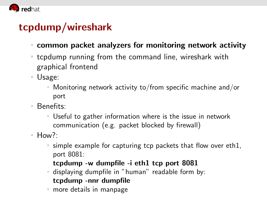

### tcpdump/wireshark

- common packet analyzers for monitoring network activity
- tcpdump running from the command line, wireshark with graphical frontend
- Usage:
	- Monitoring network activity to/from specific machine and/or  $\equiv$ port
- Benefits:
	- Useful to gather information where is the issue in network communication (e.g. packet blocked by firewall)
- $H_{\text{OW}}$ ?
	- simple example for capturing tcp packets that flow over eth1, port 8081:

#### tcpdump -w dumpfile -i eth1 tcp port 8081

- displaying dumpfile in "human" readable form by: tcpdump -nnr dumpfile
- more details in manpage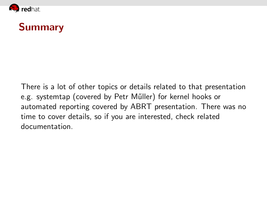

## Summary

There is a lot of other topics or details related to that presentation e.g. systemtap (covered by Petr M˝uller) for kernel hooks or automated reporting covered by ABRT presentation. There was no time to cover details, so if you are interested, check related documentation.